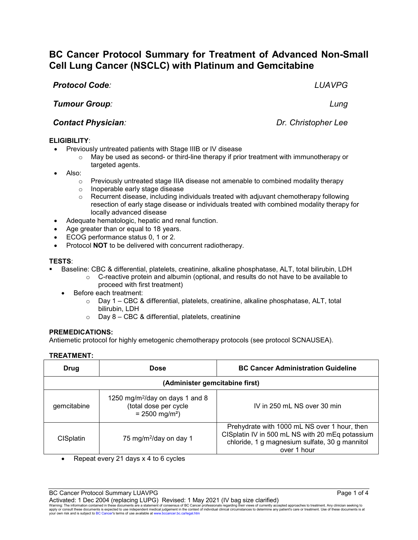## $q$ 1250 mg/m2/day on days 1 and 8

| emcitabine | $1200$ ing/in / day on days I dily o<br>(total dose per cycle)<br>$= 2500$ mg/m <sup>2</sup> ) | IV in 250 mL NS over 30 min                                                                                                                       |
|------------|------------------------------------------------------------------------------------------------|---------------------------------------------------------------------------------------------------------------------------------------------------|
| CISplatin  | 75 mg/m <sup>2</sup> /day on day 1                                                             | Prehydrate with 1000 mL NS over 1 hour, then<br>CISplatin IV in 500 mL NS with 20 mEq potassium<br>chloride, 1 g magnesium sulfate, 30 g mannitol |

#### **TESTS**:

- Baseline: CBC & differential, platelets, creatinine, alkaline phosphatase, ALT, total bilirubin, LDH
	- o C-reactive protein and albumin (optional, and results do not have to be available to proceed with first treatment)
	- Before each treatment:
		- $\circ$  Day 1 CBC & differential, platelets, creatinine, alkaline phosphatase, ALT, total bilirubin, LDH

**Drug Dose BC Cancer Administration Guideline**

**(Administer gemcitabine first)**

 $\circ$  Day 8 – CBC & differential, platelets, creatinine

#### **PREMEDICATIONS:**

Antiemetic protocol for highly emetogenic chemotherapy protocols (see protocol SCNAUSEA).

# **TREATMENT:**

BC Cancer Protocol Summary LUAVPG **Page 1 of 4** and 2008 Page 1 of 4

• Repeat every 21 days x 4 to 6 cycles

Activated: 1 Dec 2004 (replacing LUPG) Revised: 1 May 2021 (IV bag size clarified)

Warning: The information contained in these documents are a statement of consensus of BC Cancer professionals regarding their views of currently accepted approaches to treatment. Any clinician seeking to<br>apply or consult t

*Tumour Group: Lung*

# *Contact Physician: Dr. Christopher Lee*

## **ELIGIBILITY**:

- Previously untreated patients with Stage IIIB or IV disease
	- $\circ$  May be used as second- or third-line therapy if prior treatment with immunotherapy or targeted agents.
- Also:
	- $\circ$  Previously untreated stage IIIA disease not amenable to combined modality therapy
	- o Inoperable early stage disease
	- $\circ$  Recurrent disease, including individuals treated with adjuvant chemotherapy following resection of early stage disease or individuals treated with combined modality therapy for locally advanced disease
- Adequate hematologic, hepatic and renal function.
- Age greater than or equal to 18 years.
- ECOG performance status 0, 1 or 2.
- Protocol **NOT** to be delivered with concurrent radiotherapy.

# **Cell Lung Cancer (NSCLC) with Platinum and Gemcitabine**  *Protocol Code: LUAVPG*

**BC Cancer Protocol Summary for Treatment of Advanced Non-Small** 

over 1 hour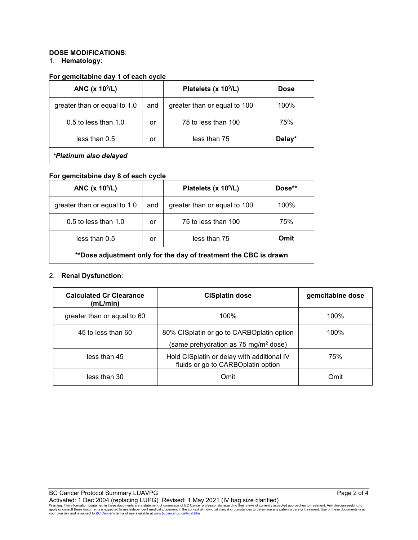## **DOSE MODIFICATIONS**:

### 1. **Hematology**:

#### **For gemcitabine day 1 of each cycle**

| ANC $(x 10^9/L)$             |     | Platelets (x 10 <sup>9</sup> /L) | <b>Dose</b> |
|------------------------------|-----|----------------------------------|-------------|
| greater than or equal to 1.0 | and | greater than or equal to 100     | 100%        |
| $0.5$ to less than 1.0       | or  | 75 to less than 100              | 75%         |
| less than 0.5                | or  | less than 75                     | Delay*      |
| *Platinum also delayed       |     |                                  |             |

## **For gemcitabine day 8 of each cycle**

| ANC $(x 109/L)$                                                  |     | Platelets (x 10 <sup>9</sup> /L) | Dose** |
|------------------------------------------------------------------|-----|----------------------------------|--------|
| greater than or equal to 1.0                                     | and | greater than or equal to 100     | 100%   |
| 0.5 to less than 1.0                                             | or  | 75 to less than 100              | 75%    |
| less than 0.5                                                    | or  | less than 75                     | Omit   |
| **Dose adjustment only for the day of treatment the CBC is drawn |     |                                  |        |

# 2. **Renal Dysfunction**:

| <b>Calculated Cr Clearance</b><br>(mL/min) | <b>CISplatin dose</b>                                                                         | gemcitabine dose |
|--------------------------------------------|-----------------------------------------------------------------------------------------------|------------------|
| greater than or equal to 60                | 100%                                                                                          | 100%             |
| 45 to less than 60                         | 80% CISplatin or go to CARBOplatin option<br>(same prehydration as 75 mg/m <sup>2</sup> dose) | 100%             |
| less than 45                               | Hold CISplatin or delay with additional IV<br>fluids or go to CARBOplatin option              | 75%              |
| less than 30                               | Omit                                                                                          | Omit             |

Activated: 1 Dec 2004 (replacing LUPG) Revised: 1 May 2021 (IV bag size clarified)<br>Warning: The information contained in these documents are a statement of consensus of BC Cancer professionals regarding their views of curr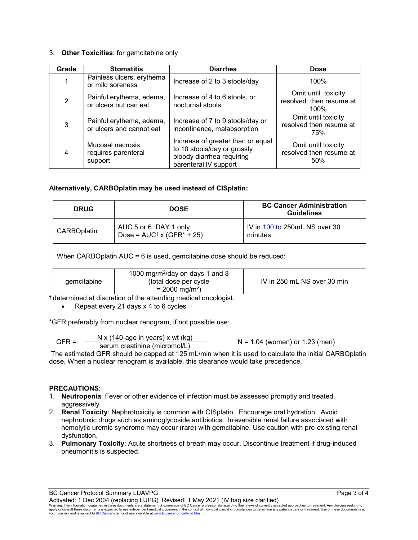# 3. **Other Toxicities**: for gemcitabine only

| Grade          | <b>Stomatitis</b>                                    | <b>Diarrhea</b>                                                                                                        | <b>Dose</b>                                            |
|----------------|------------------------------------------------------|------------------------------------------------------------------------------------------------------------------------|--------------------------------------------------------|
|                | Painless ulcers, erythema<br>or mild soreness        | Increase of 2 to 3 stools/day                                                                                          | 100%                                                   |
| $\overline{2}$ | Painful erythema, edema,<br>or ulcers but can eat    | Increase of 4 to 6 stools, or<br>nocturnal stools                                                                      | Omit until toxicity<br>resolved then resume at<br>100% |
| 3              | Painful erythema, edema,<br>or ulcers and cannot eat | Increase of 7 to 9 stools/day or<br>incontinence, malabsorption                                                        | Omit until toxicity<br>resolved then resume at<br>75%  |
| 4              | Mucosal necrosis,<br>requires parenteral<br>support  | Increase of greater than or equal<br>to 10 stools/day or grossly<br>bloody diarrhea requiring<br>parenteral IV support | Omit until toxicity<br>resolved then resume at<br>50%  |

## **Alternatively, CARBOplatin may be used instead of CISplatin:**

| <b>DRUG</b>                                                                                                         | <b>DOSE</b> | <b>BC Cancer Administration</b><br><b>Guidelines</b> |  |  |
|---------------------------------------------------------------------------------------------------------------------|-------------|------------------------------------------------------|--|--|
| AUC 5 or 6 DAY 1 only<br><b>CARBOplatin</b><br>Dose = $AUC^{\dagger}$ x (GFR* + 25)                                 |             | IV in 100 to 250mL NS over 30<br>minutes.            |  |  |
| When CARBOplatin AUC = 6 is used, gemcitabine dose should be reduced:                                               |             |                                                      |  |  |
| 1000 mg/m <sup>2</sup> /day on days 1 and 8<br>(total dose per cycle<br>gemcitabine<br>$= 2000$ mg/m <sup>2</sup> ) |             | IV in 250 mL NS over 30 min                          |  |  |

† determined at discretion of the attending medical oncologist.

• Repeat every 21 days x 4 to 6 cycles

\*GFR preferably from nuclear renogram, if not possible use:

$$
GFR = \frac{N x (140 \text{-age in years}) x wt (kg)}{serum creation (micromol/L)}
$$
 N = 1.04 (women) or 1.23 (men)

The estimated GFR should be capped at 125 mL/min when it is used to calculate the initial CARBOplatin dose. When a nuclear renogram is available, this clearance would take precedence.

## **PRECAUTIONS**:

- 1. **Neutropenia**: Fever or other evidence of infection must be assessed promptly and treated aggressively.
- 2. **Renal Toxicity**: Nephrotoxicity is common with CISplatin. Encourage oral hydration. Avoid nephrotoxic drugs such as aminoglycoside antibiotics. Irreversible renal failure associated with hemolytic uremic syndrome may occur (rare) with gemcitabine. Use caution with pre-existing renal dysfunction.
- 3. **Pulmonary Toxicity**: Acute shortness of breath may occur. Discontinue treatment if drug-induced pneumonitis is suspected.